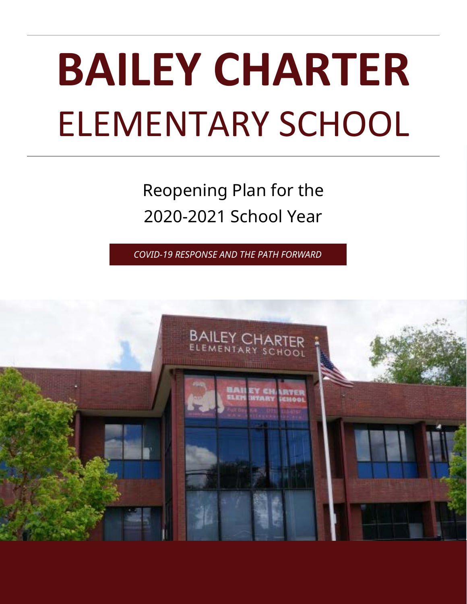# **BAILEY CHARTER** ELEMENTARY SCHOOL

Reopening Plan for the 2020-2021 School Year

*COVID-19 RESPONSE AND THE PATH FORWARD*

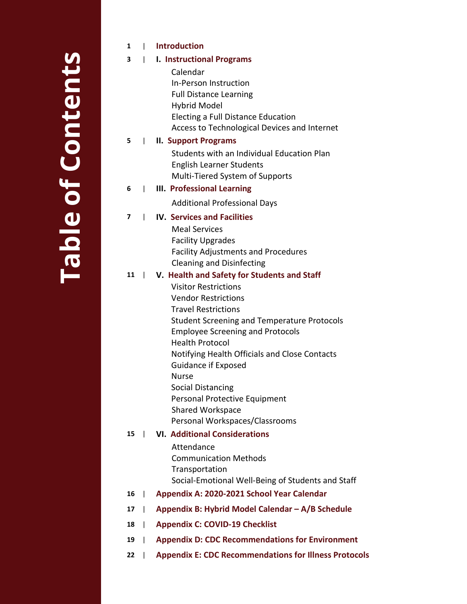# **Table of Co ntents**

| 1  |                          | Introduction                                                                                                                                                                                                                                                                                                                                                                                                                                                                        |
|----|--------------------------|-------------------------------------------------------------------------------------------------------------------------------------------------------------------------------------------------------------------------------------------------------------------------------------------------------------------------------------------------------------------------------------------------------------------------------------------------------------------------------------|
| 3  |                          | I. Instructional Programs<br>Calendar<br>In-Person Instruction<br><b>Full Distance Learning</b><br><b>Hybrid Model</b><br>Electing a Full Distance Education<br>Access to Technological Devices and Internet                                                                                                                                                                                                                                                                        |
| 5  | $\mathbb{R}$             | <b>II. Support Programs</b><br>Students with an Individual Education Plan<br><b>English Learner Students</b><br>Multi-Tiered System of Supports                                                                                                                                                                                                                                                                                                                                     |
| 6  | $\mathbf{L}$             | <b>III. Professional Learning</b>                                                                                                                                                                                                                                                                                                                                                                                                                                                   |
|    |                          | <b>Additional Professional Days</b>                                                                                                                                                                                                                                                                                                                                                                                                                                                 |
| 7  | $\mathbf{I}$             | <b>IV. Services and Facilities</b><br><b>Meal Services</b><br><b>Facility Upgrades</b><br><b>Facility Adjustments and Procedures</b><br><b>Cleaning and Disinfecting</b>                                                                                                                                                                                                                                                                                                            |
| 11 | $\overline{\phantom{a}}$ | V. Health and Safety for Students and Staff<br><b>Visitor Restrictions</b><br><b>Vendor Restrictions</b><br><b>Travel Restrictions</b><br><b>Student Screening and Temperature Protocols</b><br><b>Employee Screening and Protocols</b><br><b>Health Protocol</b><br>Notifying Health Officials and Close Contacts<br><b>Guidance if Exposed</b><br>Nurse<br><b>Social Distancing</b><br>Personal Protective Equipment<br><b>Shared Workspace</b><br>Personal Workspaces/Classrooms |
| 15 | $\mathbf{I}$             | <b>VI. Additional Considerations</b><br>Attendance<br><b>Communication Methods</b>                                                                                                                                                                                                                                                                                                                                                                                                  |
|    |                          | Transportation                                                                                                                                                                                                                                                                                                                                                                                                                                                                      |
| 16 | $\mathbf{I}$             | Social-Emotional Well-Being of Students and Staff<br>Appendix A: 2020-2021 School Year Calendar                                                                                                                                                                                                                                                                                                                                                                                     |
| 17 | L                        | Appendix B: Hybrid Model Calendar - A/B Schedule                                                                                                                                                                                                                                                                                                                                                                                                                                    |
| 18 | L                        | <b>Appendix C: COVID-19 Checklist</b>                                                                                                                                                                                                                                                                                                                                                                                                                                               |
| 19 | L                        | <b>Appendix D: CDC Recommendations for Environment</b>                                                                                                                                                                                                                                                                                                                                                                                                                              |
| 22 | I                        | <b>Appendix E: CDC Recommendations for Illness Protocols</b>                                                                                                                                                                                                                                                                                                                                                                                                                        |
|    |                          |                                                                                                                                                                                                                                                                                                                                                                                                                                                                                     |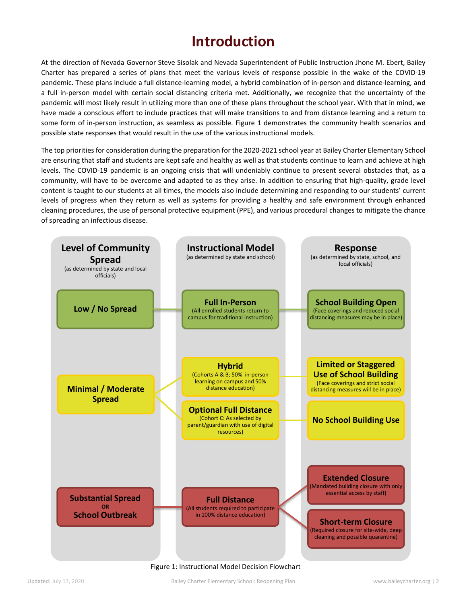## **Introduction**

<span id="page-2-0"></span>At the direction of Nevada Governor Steve Sisolak and Nevada Superintendent of Public Instruction Jhone M. Ebert, Bailey Charter has prepared a series of plans that meet the various levels of response possible in the wake of the COVID-19 pandemic. These plans include a full distance-learning model, a hybrid combination of in-person and distance-learning, and a full in-person model with certain social distancing criteria met. Additionally, we recognize that the uncertainty of the pandemic will most likely result in utilizing more than one of these plans throughout the school year. With that in mind, we have made a conscious effort to include practices that will make transitions to and from distance learning and a return to some form of in-person instruction, as seamless as possible. Figure 1 demonstrates the community health scenarios and possible state responses that would result in the use of the various instructional models.

The top priorities for consideration during the preparation for the 2020-2021 school year at Bailey Charter Elementary School are ensuring that staff and students are kept safe and healthy as well as that students continue to learn and achieve at high levels. The COVID-19 pandemic is an ongoing crisis that will undeniably continue to present several obstacles that, as a community, will have to be overcome and adapted to as they arise. In addition to ensuring that high-quality, grade level content is taught to our students at all times, the models also include determining and responding to our students' current levels of progress when they return as well as systems for providing a healthy and safe environment through enhanced cleaning procedures, the use of personal protective equipment (PPE), and various procedural changes to mitigate the chance of spreading an infectious disease.



Figure 1: Instructional Model Decision Flowchart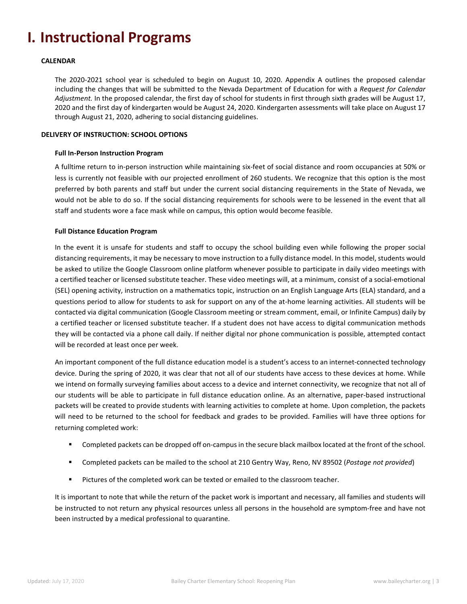# <span id="page-3-0"></span>**I. Instructional Programs**

#### **CALENDAR**

The 2020-2021 school year is scheduled to begin on August 10, 2020. Appendix A outlines the proposed calendar including the changes that will be submitted to the Nevada Department of Education for with a *Request for Calendar Adjustment.* In the proposed calendar, the first day of school for students in first through sixth grades will be August 17, 2020 and the first day of kindergarten would be August 24, 2020. Kindergarten assessments will take place on August 17 through August 21, 2020, adhering to social distancing guidelines.

#### **DELIVERY OF INSTRUCTION: SCHOOL OPTIONS**

#### **Full In-Person Instruction Program**

A fulltime return to in-person instruction while maintaining six-feet of social distance and room occupancies at 50% or less is currently not feasible with our projected enrollment of 260 students. We recognize that this option is the most preferred by both parents and staff but under the current social distancing requirements in the State of Nevada, we would not be able to do so. If the social distancing requirements for schools were to be lessened in the event that all staff and students wore a face mask while on campus, this option would become feasible.

#### **Full Distance Education Program**

In the event it is unsafe for students and staff to occupy the school building even while following the proper social distancing requirements, it may be necessary to move instruction to a fully distance model. In this model, students would be asked to utilize the Google Classroom online platform whenever possible to participate in daily video meetings with a certified teacher or licensed substitute teacher. These video meetings will, at a minimum, consist of a social-emotional (SEL) opening activity, instruction on a mathematics topic, instruction on an English Language Arts (ELA) standard, and a questions period to allow for students to ask for support on any of the at-home learning activities. All students will be contacted via digital communication (Google Classroom meeting or stream comment, email, or Infinite Campus) daily by a certified teacher or licensed substitute teacher. If a student does not have access to digital communication methods they will be contacted via a phone call daily. If neither digital nor phone communication is possible, attempted contact will be recorded at least once per week.

An important component of the full distance education model is a student's access to an internet-connected technology device. During the spring of 2020, it was clear that not all of our students have access to these devices at home. While we intend on formally surveying families about access to a device and internet connectivity, we recognize that not all of our students will be able to participate in full distance education online. As an alternative, paper-based instructional packets will be created to provide students with learning activities to complete at home. Upon completion, the packets will need to be returned to the school for feedback and grades to be provided. Families will have three options for returning completed work:

- **Completed packets can be dropped off on-campus in the secure black mailbox located at the front of the school.**
- Completed packets can be mailed to the school at 210 Gentry Way, Reno, NV 89502 (*Postage not provided*)
- **Pictures of the completed work can be texted or emailed to the classroom teacher.**

It is important to note that while the return of the packet work is important and necessary, all families and students will be instructed to not return any physical resources unless all persons in the household are symptom-free and have not been instructed by a medical professional to quarantine.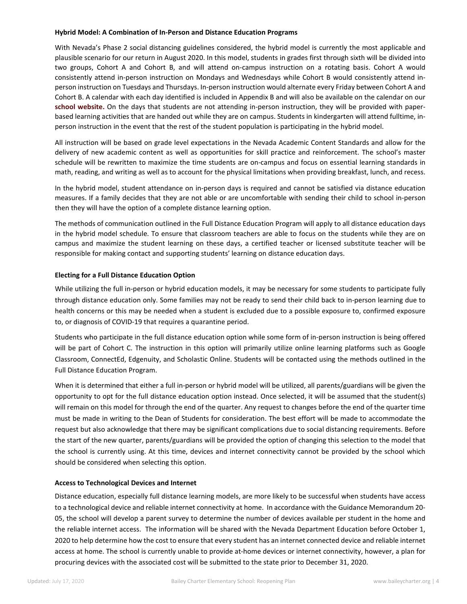#### **Hybrid Model: A Combination of In-Person and Distance Education Programs**

With Nevada's Phase 2 social distancing guidelines considered, the hybrid model is currently the most applicable and plausible scenario for our return in August 2020. In this model, students in grades first through sixth will be divided into two groups, Cohort A and Cohort B, and will attend on-campus instruction on a rotating basis. Cohort A would consistently attend in-person instruction on Mondays and Wednesdays while Cohort B would consistently attend inperson instruction on Tuesdays and Thursdays. In-person instruction would alternate every Friday between Cohort A and Cohort B. A calendar with each day identified is included in Appendix B and will also be available on the calendar on our **[school website.](http://www.baileycharter.org/)** On the days that students are not attending in-person instruction, they will be provided with paperbased learning activities that are handed out while they are on campus. Students in kindergarten will attend fulltime, inperson instruction in the event that the rest of the student population is participating in the hybrid model.

All instruction will be based on grade level expectations in the Nevada Academic Content Standards and allow for the delivery of new academic content as well as opportunities for skill practice and reinforcement. The school's master schedule will be rewritten to maximize the time students are on-campus and focus on essential learning standards in math, reading, and writing as well as to account for the physical limitations when providing breakfast, lunch, and recess.

In the hybrid model, student attendance on in-person days is required and cannot be satisfied via distance education measures. If a family decides that they are not able or are uncomfortable with sending their child to school in-person then they will have the option of a complete distance learning option.

The methods of communication outlined in the Full Distance Education Program will apply to all distance education days in the hybrid model schedule. To ensure that classroom teachers are able to focus on the students while they are on campus and maximize the student learning on these days, a certified teacher or licensed substitute teacher will be responsible for making contact and supporting students' learning on distance education days.

#### **Electing for a Full Distance Education Option**

While utilizing the full in-person or hybrid education models, it may be necessary for some students to participate fully through distance education only. Some families may not be ready to send their child back to in-person learning due to health concerns or this may be needed when a student is excluded due to a possible exposure to, confirmed exposure to, or diagnosis of COVID-19 that requires a quarantine period.

Students who participate in the full distance education option while some form of in-person instruction is being offered will be part of Cohort C. The instruction in this option will primarily utilize online learning platforms such as Google Classroom, ConnectEd, Edgenuity, and Scholastic Online. Students will be contacted using the methods outlined in the Full Distance Education Program.

When it is determined that either a full in-person or hybrid model will be utilized, all parents/guardians will be given the opportunity to opt for the full distance education option instead. Once selected, it will be assumed that the student(s) will remain on this model for through the end of the quarter. Any request to changes before the end of the quarter time must be made in writing to the Dean of Students for consideration. The best effort will be made to accommodate the request but also acknowledge that there may be significant complications due to social distancing requirements. Before the start of the new quarter, parents/guardians will be provided the option of changing this selection to the model that the school is currently using. At this time, devices and internet connectivity cannot be provided by the school which should be considered when selecting this option.

#### **Access to Technological Devices and Internet**

Distance education, especially full distance learning models, are more likely to be successful when students have access to a technological device and reliable internet connectivity at home. In accordance with the Guidance Memorandum 20- 05, the school will develop a parent survey to determine the number of devices available per student in the home and the reliable internet access. The information will be shared with the Nevada Department Education before October 1, 2020 to help determine how the cost to ensure that every student has an internet connected device and reliable internet access at home. The school is currently unable to provide at-home devices or internet connectivity, however, a plan for procuring devices with the associated cost will be submitted to the state prior to December 31, 2020.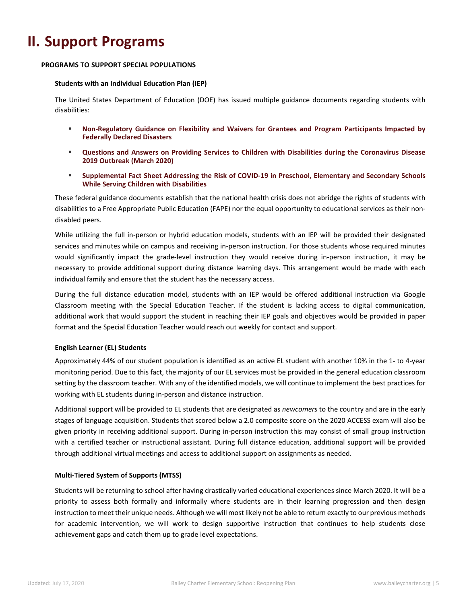## <span id="page-5-0"></span>**II. Support Programs**

#### **PROGRAMS TO SUPPORT SPECIAL POPULATIONS**

#### **Students with an Individual Education Plan (IEP)**

The United States Department of Education (DOE) has issued multiple guidance documents regarding students with disabilities:

- **[Non-Regulatory Guidance on Flexibility and Waivers for Grantees and Program Participants Impacted by](https://www.ed.gov/news/press-releases/us-department-education-announces-hurricane-flexibility-guidance)  [Federally](https://www.ed.gov/news/press-releases/us-department-education-announces-hurricane-flexibility-guidance) [Declared Disasters](https://www.ed.gov/news/press-releases/us-department-education-announces-hurricane-flexibility-guidance)**
- **[Questions and Answers on Providing Services to Children with Disabilities during the Coronavirus Disease](https://sites.ed.gov/idea/idea-files/q-and-a-providing-services-to-children-with-disabilities-during-the-coronavirus-disease-2019-outbreak/)  [2019](https://sites.ed.gov/idea/idea-files/q-and-a-providing-services-to-children-with-disabilities-during-the-coronavirus-disease-2019-outbreak/) [Outbreak \(March 2020\)](https://sites.ed.gov/idea/idea-files/q-and-a-providing-services-to-children-with-disabilities-during-the-coronavirus-disease-2019-outbreak/)**
- **[Supplemental Fact Sheet Addressing the Risk of COVID-19 in Preschool, Elementary and Secondary Schools](https://sites.ed.gov/idea/idea-files/supplemental-fact-sheet-addressing-risk-covid-19-preschool-elementary-secondary-schools-serving-children-disabilities-march-21-2020/)  [While](https://sites.ed.gov/idea/idea-files/supplemental-fact-sheet-addressing-risk-covid-19-preschool-elementary-secondary-schools-serving-children-disabilities-march-21-2020/) [Serving Children with Disabilities](https://sites.ed.gov/idea/idea-files/supplemental-fact-sheet-addressing-risk-covid-19-preschool-elementary-secondary-schools-serving-children-disabilities-march-21-2020/)**

These federal guidance documents establish that the national health crisis does not abridge the rights of students with disabilities to a Free Appropriate Public Education (FAPE) nor the equal opportunity to educational services as their nondisabled peers.

While utilizing the full in-person or hybrid education models, students with an IEP will be provided their designated services and minutes while on campus and receiving in-person instruction. For those students whose required minutes would significantly impact the grade-level instruction they would receive during in-person instruction, it may be necessary to provide additional support during distance learning days. This arrangement would be made with each individual family and ensure that the student has the necessary access.

During the full distance education model, students with an IEP would be offered additional instruction via Google Classroom meeting with the Special Education Teacher. If the student is lacking access to digital communication, additional work that would support the student in reaching their IEP goals and objectives would be provided in paper format and the Special Education Teacher would reach out weekly for contact and support.

#### **English Learner (EL) Students**

Approximately 44% of our student population is identified as an active EL student with another 10% in the 1- to 4-year monitoring period. Due to this fact, the majority of our EL services must be provided in the general education classroom setting by the classroom teacher. With any of the identified models, we will continue to implement the best practices for working with EL students during in-person and distance instruction.

Additional support will be provided to EL students that are designated as *newcomers* to the country and are in the early stages of language acquisition. Students that scored below a 2.0 composite score on the 2020 ACCESS exam will also be given priority in receiving additional support. During in-person instruction this may consist of small group instruction with a certified teacher or instructional assistant. During full distance education, additional support will be provided through additional virtual meetings and access to additional support on assignments as needed.

#### **Multi-Tiered System of Supports (MTSS)**

Students will be returning to school after having drastically varied educational experiences since March 2020. It will be a priority to assess both formally and informally where students are in their learning progression and then design instruction to meet their unique needs. Although we will most likely not be able to return exactly to our previous methods for academic intervention, we will work to design supportive instruction that continues to help students close achievement gaps and catch them up to grade level expectations.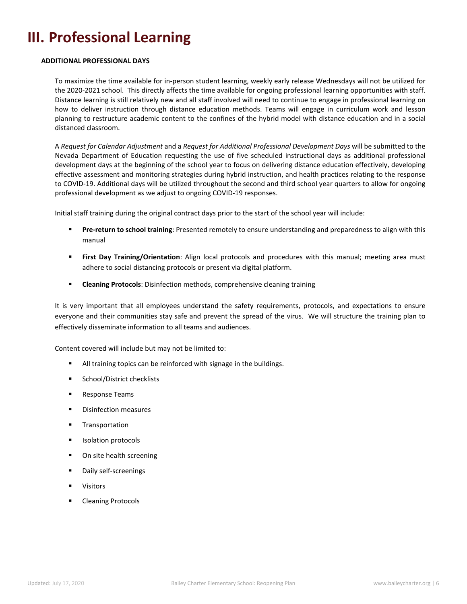# <span id="page-6-0"></span>**III. Professional Learning**

#### **ADDITIONAL PROFESSIONAL DAYS**

To maximize the time available for in-person student learning, weekly early release Wednesdays will not be utilized for the 2020-2021 school. This directly affects the time available for ongoing professional learning opportunities with staff. Distance learning is still relatively new and all staff involved will need to continue to engage in professional learning on how to deliver instruction through distance education methods. Teams will engage in curriculum work and lesson planning to restructure academic content to the confines of the hybrid model with distance education and in a social distanced classroom.

A *Request for Calendar Adjustment* and a *Request for Additional Professional Development Days* will be submitted to the Nevada Department of Education requesting the use of five scheduled instructional days as additional professional development days at the beginning of the school year to focus on delivering distance education effectively, developing effective assessment and monitoring strategies during hybrid instruction, and health practices relating to the response to COVID-19. Additional days will be utilized throughout the second and third school year quarters to allow for ongoing professional development as we adjust to ongoing COVID-19 responses.

Initial staff training during the original contract days prior to the start of the school year will include:

- **Pre-return to school training**: Presented remotely to ensure understanding and preparedness to align with this manual
- **First Day Training/Orientation**: Align local protocols and procedures with this manual; meeting area must adhere to social distancing protocols or present via digital platform.
- **Cleaning Protocols**: Disinfection methods, comprehensive cleaning training

It is very important that all employees understand the safety requirements, protocols, and expectations to ensure everyone and their communities stay safe and prevent the spread of the virus. We will structure the training plan to effectively disseminate information to all teams and audiences.

Content covered will include but may not be limited to:

- All training topics can be reinforced with signage in the buildings.
- **School/District checklists**
- **Response Teams**
- **•** Disinfection measures
- **Transportation**
- **Industrianal International Protocols**
- **•** On site health screening
- **Daily self-screenings**
- Visitors
- Cleaning Protocols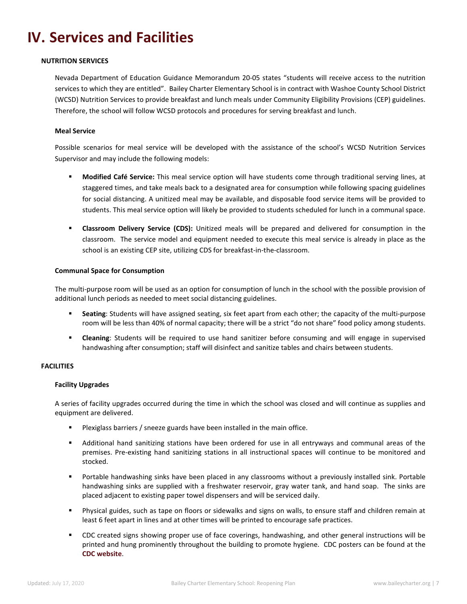# <span id="page-7-0"></span>**IV. Services and Facilities**

#### **NUTRITION SERVICES**

Nevada Department of Education Guidance Memorandum 20-05 states "students will receive access to the nutrition services to which they are entitled". Bailey Charter Elementary School is in contract with Washoe County School District (WCSD) Nutrition Services to provide breakfast and lunch meals under Community Eligibility Provisions (CEP) guidelines. Therefore, the school will follow WCSD protocols and procedures for serving breakfast and lunch.

#### **Meal Service**

Possible scenarios for meal service will be developed with the assistance of the school's WCSD Nutrition Services Supervisor and may include the following models:

- **Modified Café Service:** This meal service option will have students come through traditional serving lines, at staggered times, and take meals back to a designated area for consumption while following spacing guidelines for social distancing. A unitized meal may be available, and disposable food service items will be provided to students. This meal service option will likely be provided to students scheduled for lunch in a communal space.
- **Classroom Delivery Service (CDS):** Unitized meals will be prepared and delivered for consumption in the classroom. The service model and equipment needed to execute this meal service is already in place as the school is an existing CEP site, utilizing CDS for breakfast-in-the-classroom.

#### **Communal Space for Consumption**

The multi-purpose room will be used as an option for consumption of lunch in the school with the possible provision of additional lunch periods as needed to meet social distancing guidelines.

- **Seating**: Students will have assigned seating, six feet apart from each other; the capacity of the multi-purpose room will be less than 40% of normal capacity; there will be a strict "do not share" food policy among students.
- **Cleaning**: Students will be required to use hand sanitizer before consuming and will engage in supervised handwashing after consumption; staff will disinfect and sanitize tables and chairs between students.

#### **FACILITIES**

#### **Facility Upgrades**

A series of facility upgrades occurred during the time in which the school was closed and will continue as supplies and equipment are delivered.

- Plexiglass barriers / sneeze guards have been installed in the main office.
- Additional hand sanitizing stations have been ordered for use in all entryways and communal areas of the premises. Pre-existing hand sanitizing stations in all instructional spaces will continue to be monitored and stocked.
- Portable handwashing sinks have been placed in any classrooms without a previously installed sink. Portable handwashing sinks are supplied with a freshwater reservoir, gray water tank, and hand soap. The sinks are placed adjacent to existing paper towel dispensers and will be serviced daily.
- Physical guides, such as tape on floors or sidewalks and signs on walls, to ensure staff and children remain at least 6 feet apart in lines and at other times will be printed to encourage safe practices.
- CDC created signs showing proper use of face coverings, handwashing, and other general instructions will be printed and hung prominently throughout the building to promote hygiene. CDC posters can be found at the **[CDC website](https://www.cdc.gov/coronavirus/2019-ncov/communication/print-resources.html)**.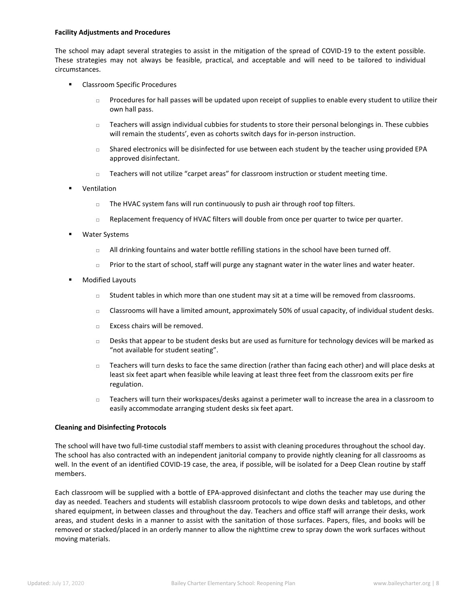#### **Facility Adjustments and Procedures**

The school may adapt several strategies to assist in the mitigation of the spread of COVID-19 to the extent possible. These strategies may not always be feasible, practical, and acceptable and will need to be tailored to individual circumstances.

- **EXEC** Classroom Specific Procedures
	- □ Procedures for hall passes will be updated upon receipt of supplies to enable every student to utilize their own hall pass.
	- $\Box$  Teachers will assign individual cubbies for students to store their personal belongings in. These cubbies will remain the students', even as cohorts switch days for in-person instruction.
	- $\Box$  Shared electronics will be disinfected for use between each student by the teacher using provided EPA approved disinfectant.
	- $\Box$  Teachers will not utilize "carpet areas" for classroom instruction or student meeting time.
- Ventilation
	- $\Box$  The HVAC system fans will run continuously to push air through roof top filters.
	- $\Box$  Replacement frequency of HVAC filters will double from once per quarter to twice per quarter.
- Water Systems
	- $\Box$  All drinking fountains and water bottle refilling stations in the school have been turned off.
	- $\Box$  Prior to the start of school, staff will purge any stagnant water in the water lines and water heater.
- Modified Layouts
	- $\Box$  Student tables in which more than one student may sit at a time will be removed from classrooms.
	- Classrooms will have a limited amount, approximately 50% of usual capacity, of individual student desks.
	- $\Box$  Excess chairs will be removed.
	- $\Box$  Desks that appear to be student desks but are used as furniture for technology devices will be marked as "not available for student seating".
	- Teachers will turn desks to face the same direction (rather than facing each other) and will place desks at least six feet apart when feasible while leaving at least three feet from the classroom exits per fire regulation.
	- $\Box$  Teachers will turn their workspaces/desks against a perimeter wall to increase the area in a classroom to easily accommodate arranging student desks six feet apart.

#### **Cleaning and Disinfecting Protocols**

The school will have two full-time custodial staff members to assist with cleaning procedures throughout the school day. The school has also contracted with an independent janitorial company to provide nightly cleaning for all classrooms as well. In the event of an identified COVID-19 case, the area, if possible, will be isolated for a Deep Clean routine by staff members.

Each classroom will be supplied with a bottle of EPA-approved disinfectant and cloths the teacher may use during the day as needed. Teachers and students will establish classroom protocols to wipe down desks and tabletops, and other shared equipment, in between classes and throughout the day. Teachers and office staff will arrange their desks, work areas, and student desks in a manner to assist with the sanitation of those surfaces. Papers, files, and books will be removed or stacked/placed in an orderly manner to allow the nighttime crew to spray down the work surfaces without moving materials.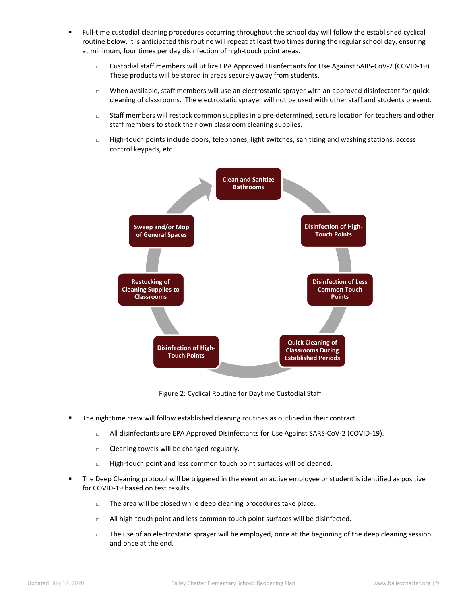- Full-time custodial cleaning procedures occurring throughout the school day will follow the established cyclical routine below. It is anticipated this routine will repeat at least two times during the regular school day, ensuring at minimum, four times per day disinfection of high-touch point areas.
	- □ Custodial staff members will utilize EPA Approved Disinfectants for Use Against SARS-CoV-2 (COVID-19). These products will be stored in areas securely away from students.
	- $\Box$  When available, staff members will use an electrostatic sprayer with an approved disinfectant for quick cleaning of classrooms. The electrostatic sprayer will not be used with other staff and students present.
	- Staff members will restock common supplies in a pre-determined, secure location for teachers and other staff members to stock their own classroom cleaning supplies.
	- $\Box$  High-touch points include doors, telephones, light switches, sanitizing and washing stations, access control keypads, etc.



Figure 2: Cyclical Routine for Daytime Custodial Staff

- The nighttime crew will follow established cleaning routines as outlined in their contract.
	- All disinfectants are EPA Approved Disinfectants for Use Against SARS-CoV-2 (COVID-19).
	- $\Box$  Cleaning towels will be changed regularly.
	- $\Box$  High-touch point and less common touch point surfaces will be cleaned.
- The Deep Cleaning protocol will be triggered in the event an active employee or student is identified as positive for COVID-19 based on test results.
	- $\Box$  The area will be closed while deep cleaning procedures take place.
	- $\Box$  All high-touch point and less common touch point surfaces will be disinfected.
	- $\Box$  The use of an electrostatic sprayer will be employed, once at the beginning of the deep cleaning session and once at the end.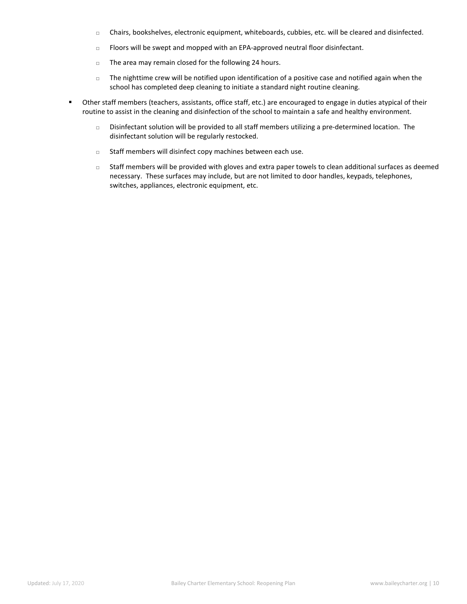- Chairs, bookshelves, electronic equipment, whiteboards, cubbies, etc. will be cleared and disinfected.
- $\Box$  Floors will be swept and mopped with an EPA-approved neutral floor disinfectant.
- $\Box$  The area may remain closed for the following 24 hours.
- $\Box$  The nighttime crew will be notified upon identification of a positive case and notified again when the school has completed deep cleaning to initiate a standard night routine cleaning.
- Other staff members (teachers, assistants, office staff, etc.) are encouraged to engage in duties atypical of their routine to assist in the cleaning and disinfection of the school to maintain a safe and healthy environment.
	- $\Box$  Disinfectant solution will be provided to all staff members utilizing a pre-determined location. The disinfectant solution will be regularly restocked.
	- $\square$  Staff members will disinfect copy machines between each use.
	- Staff members will be provided with gloves and extra paper towels to clean additional surfaces as deemed necessary. These surfaces may include, but are not limited to door handles, keypads, telephones, switches, appliances, electronic equipment, etc.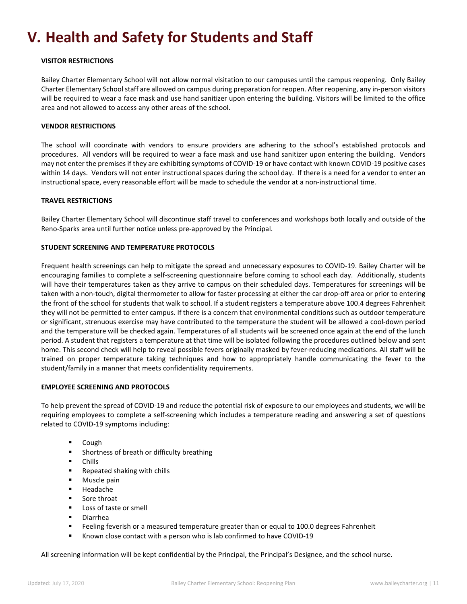# <span id="page-11-0"></span>**V. Health and Safety for Students and Staff**

#### **VISITOR RESTRICTIONS**

Bailey Charter Elementary School will not allow normal visitation to our campuses until the campus reopening. Only Bailey Charter Elementary School staff are allowed on campus during preparation for reopen. After reopening, any in-person visitors will be required to wear a face mask and use hand sanitizer upon entering the building. Visitors will be limited to the office area and not allowed to access any other areas of the school.

#### **VENDOR RESTRICTIONS**

The school will coordinate with vendors to ensure providers are adhering to the school's established protocols and procedures. All vendors will be required to wear a face mask and use hand sanitizer upon entering the building. Vendors may not enter the premises if they are exhibiting symptoms of COVID-19 or have contact with known COVID-19 positive cases within 14 days. Vendors will not enter instructional spaces during the school day. If there is a need for a vendor to enter an instructional space, every reasonable effort will be made to schedule the vendor at a non-instructional time.

#### **TRAVEL RESTRICTIONS**

Bailey Charter Elementary School will discontinue staff travel to conferences and workshops both locally and outside of the Reno-Sparks area until further notice unless pre-approved by the Principal.

#### **STUDENT SCREENING AND TEMPERATURE PROTOCOLS**

Frequent health screenings can help to mitigate the spread and unnecessary exposures to COVID-19. Bailey Charter will be encouraging families to complete a self-screening questionnaire before coming to school each day. Additionally, students will have their temperatures taken as they arrive to campus on their scheduled days. Temperatures for screenings will be taken with a non-touch, digital thermometer to allow for faster processing at either the car drop-off area or prior to entering the front of the school for students that walk to school. If a student registers a temperature above 100.4 degrees Fahrenheit they will not be permitted to enter campus. If there is a concern that environmental conditions such as outdoor temperature or significant, strenuous exercise may have contributed to the temperature the student will be allowed a cool-down period and the temperature will be checked again. Temperatures of all students will be screened once again at the end of the lunch period. A student that registers a temperature at that time will be isolated following the procedures outlined below and sent home. This second check will help to reveal possible fevers originally masked by fever-reducing medications. All staff will be trained on proper temperature taking techniques and how to appropriately handle communicating the fever to the student/family in a manner that meets confidentiality requirements.

#### **EMPLOYEE SCREENING AND PROTOCOLS**

To help prevent the spread of COVID-19 and reduce the potential risk of exposure to our employees and students, we will be requiring employees to complete a self-screening which includes a temperature reading and answering a set of questions related to COVID-19 symptoms including:

- Cough
- **Shortness of breath or difficulty breathing**
- **Chills**
- Repeated shaking with chills
- **Muscle pain**
- Headache
- **Sore throat**
- **Loss of taste or smell**
- Diarrhea
- **Feeling feverish or a measured temperature greater than or equal to 100.0 degrees Fahrenheit**
- Known close contact with a person who is lab confirmed to have COVID-19

All screening information will be kept confidential by the Principal, the Principal's Designee, and the school nurse.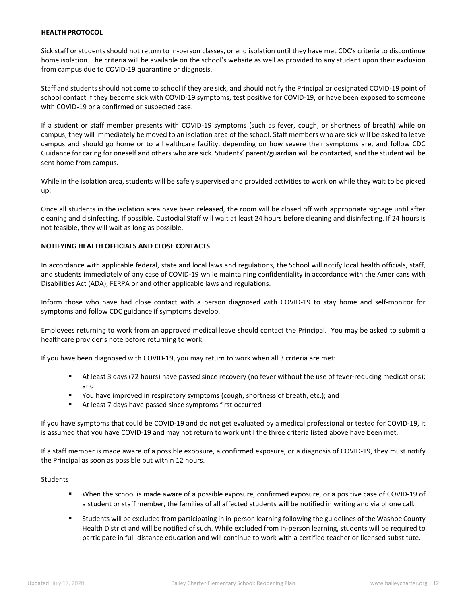#### **HEALTH PROTOCOL**

Sick staff or students should not return to in-person classes, or end isolation until they have met CDC's criteria to discontinue home isolation. The criteria will be available on the school's website as well as provided to any student upon their exclusion from campus due to COVID-19 quarantine or diagnosis.

Staff and students should not come to school if they are sick, and should notify the Principal or designated COVID-19 point of school contact if they become sick with COVID-19 symptoms, test positive for COVID-19, or have been exposed to someone with COVID-19 or a confirmed or suspected case.

If a student or staff member presents with COVID-19 symptoms (such as fever, cough, or shortness of breath) while on campus, they will immediately be moved to an isolation area of the school. Staff members who are sick will be asked to leave campus and should go home or to a healthcare facility, depending on how severe their symptoms are, and follow CDC Guidance for caring for oneself and others who are sick. Students' parent/guardian will be contacted, and the student will be sent home from campus.

While in the isolation area, students will be safely supervised and provided activities to work on while they wait to be picked up.

Once all students in the isolation area have been released, the room will be closed off with appropriate signage until after cleaning and disinfecting. If possible, Custodial Staff will wait at least 24 hours before cleaning and disinfecting. If 24 hours is not feasible, they will wait as long as possible.

#### **NOTIFYING HEALTH OFFICIALS AND CLOSE CONTACTS**

In accordance with applicable federal, state and local laws and regulations, the School will notify local health officials, staff, and students immediately of any case of COVID-19 while maintaining confidentiality in accordance with the Americans with Disabilities Act (ADA), FERPA or and other applicable laws and regulations.

Inform those who have had close contact with a person diagnosed with COVID-19 to stay home and self-monitor for symptoms and follow CDC guidance if symptoms develop.

Employees returning to work from an approved medical leave should contact the Principal. You may be asked to submit a healthcare provider's note before returning to work.

If you have been diagnosed with COVID-19, you may return to work when all 3 criteria are met:

- At least 3 days (72 hours) have passed since recovery (no fever without the use of fever-reducing medications); and
- You have improved in respiratory symptoms (cough, shortness of breath, etc.); and
- At least 7 days have passed since symptoms first occurred

If you have symptoms that could be COVID-19 and do not get evaluated by a medical professional or tested for COVID-19, it is assumed that you have COVID-19 and may not return to work until the three criteria listed above have been met.

If a staff member is made aware of a possible exposure, a confirmed exposure, or a diagnosis of COVID-19, they must notify the Principal as soon as possible but within 12 hours.

#### Students

- When the school is made aware of a possible exposure, confirmed exposure, or a positive case of COVID-19 of a student or staff member, the families of all affected students will be notified in writing and via phone call.
- Students will be excluded from participating in in-person learning following the guidelines of the Washoe County Health District and will be notified of such. While excluded from in-person learning, students will be required to participate in full-distance education and will continue to work with a certified teacher or licensed substitute.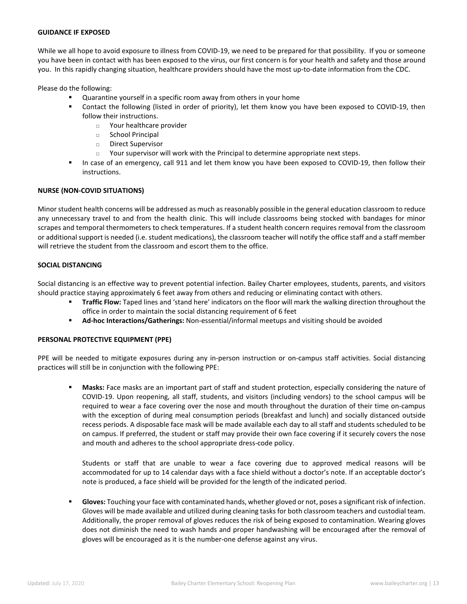#### **GUIDANCE IF EXPOSED**

While we all hope to avoid exposure to illness from COVID-19, we need to be prepared for that possibility. If you or someone you have been in contact with has been exposed to the virus, our first concern is for your health and safety and those around you. In this rapidly changing situation, healthcare providers should have the most up-to-date information from the CDC.

Please do the following:

- Quarantine yourself in a specific room away from others in your home
- Contact the following (listed in order of priority), let them know you have been exposed to COVID-19, then follow their instructions.
	- Your healthcare provider
	- □ School Principal
	- Direct Supervisor
	- $\Box$  Your supervisor will work with the Principal to determine appropriate next steps.
- In case of an emergency, call 911 and let them know you have been exposed to COVID-19, then follow their instructions.

#### **NURSE (NON-COVID SITUATIONS)**

Minor student health concerns will be addressed as much as reasonably possible in the general education classroom to reduce any unnecessary travel to and from the health clinic. This will include classrooms being stocked with bandages for minor scrapes and temporal thermometers to check temperatures. If a student health concern requires removal from the classroom or additional support is needed (i.e. student medications), the classroom teacher will notify the office staff and a staff member will retrieve the student from the classroom and escort them to the office.

#### **SOCIAL DISTANCING**

Social distancing is an effective way to prevent potential infection. Bailey Charter employees, students, parents, and visitors should practice staying approximately 6 feet away from others and reducing or eliminating contact with others.

- **Traffic Flow:** Taped lines and 'stand here' indicators on the floor will mark the walking direction throughout the office in order to maintain the social distancing requirement of 6 feet
- **Ad-hoc Interactions/Gatherings:** Non-essential/informal meetups and visiting should be avoided

#### **PERSONAL PROTECTIVE EQUIPMENT (PPE)**

PPE will be needed to mitigate exposures during any in-person instruction or on-campus staff activities. Social distancing practices will still be in conjunction with the following PPE:

 **Masks:** Face masks are an important part of staff and student protection, especially considering the nature of COVID-19. Upon reopening, all staff, students, and visitors (including vendors) to the school campus will be required to wear a face covering over the nose and mouth throughout the duration of their time on-campus with the exception of during meal consumption periods (breakfast and lunch) and socially distanced outside recess periods. A disposable face mask will be made available each day to all staff and students scheduled to be on campus. If preferred, the student or staff may provide their own face covering if it securely covers the nose and mouth and adheres to the school appropriate dress-code policy.

Students or staff that are unable to wear a face covering due to approved medical reasons will be accommodated for up to 14 calendar days with a face shield without a doctor's note. If an acceptable doctor's note is produced, a face shield will be provided for the length of the indicated period.

 **Gloves:** Touching your face with contaminated hands, whether gloved or not, poses a significant risk of infection. Gloves will be made available and utilized during cleaning tasks for both classroom teachers and custodial team. Additionally, the proper removal of gloves reduces the risk of being exposed to contamination. Wearing gloves does not diminish the need to wash hands and proper handwashing will be encouraged after the removal of gloves will be encouraged as it is the number-one defense against any virus.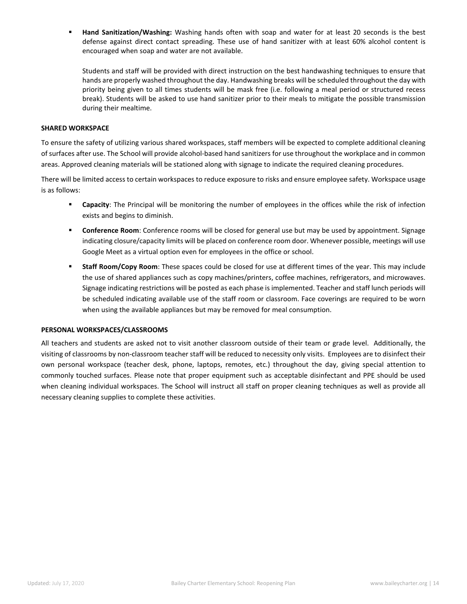**Hand Sanitization/Washing:** Washing hands often with soap and water for at least 20 seconds is the best defense against direct contact spreading. These use of hand sanitizer with at least 60% alcohol content is encouraged when soap and water are not available.

Students and staff will be provided with direct instruction on the best handwashing techniques to ensure that hands are properly washed throughout the day. Handwashing breaks will be scheduled throughout the day with priority being given to all times students will be mask free (i.e. following a meal period or structured recess break). Students will be asked to use hand sanitizer prior to their meals to mitigate the possible transmission during their mealtime.

#### **SHARED WORKSPACE**

To ensure the safety of utilizing various shared workspaces, staff members will be expected to complete additional cleaning of surfaces after use. The School will provide alcohol-based hand sanitizers for use throughout the workplace and in common areas. Approved cleaning materials will be stationed along with signage to indicate the required cleaning procedures.

There will be limited access to certain workspaces to reduce exposure to risks and ensure employee safety. Workspace usage is as follows:

- **Capacity**: The Principal will be monitoring the number of employees in the offices while the risk of infection exists and begins to diminish.
- **Conference Room**: Conference rooms will be closed for general use but may be used by appointment. Signage indicating closure/capacity limits will be placed on conference room door. Whenever possible, meetings will use Google Meet as a virtual option even for employees in the office or school.
- **Staff Room/Copy Room**: These spaces could be closed for use at different times of the year. This may include the use of shared appliances such as copy machines/printers, coffee machines, refrigerators, and microwaves. Signage indicating restrictions will be posted as each phase is implemented. Teacher and staff lunch periods will be scheduled indicating available use of the staff room or classroom. Face coverings are required to be worn when using the available appliances but may be removed for meal consumption.

#### **PERSONAL WORKSPACES/CLASSROOMS**

All teachers and students are asked not to visit another classroom outside of their team or grade level. Additionally, the visiting of classrooms by non-classroom teacher staff will be reduced to necessity only visits. Employees are to disinfect their own personal workspace (teacher desk, phone, laptops, remotes, etc.) throughout the day, giving special attention to commonly touched surfaces. Please note that proper equipment such as acceptable disinfectant and PPE should be used when cleaning individual workspaces. The School will instruct all staff on proper cleaning techniques as well as provide all necessary cleaning supplies to complete these activities.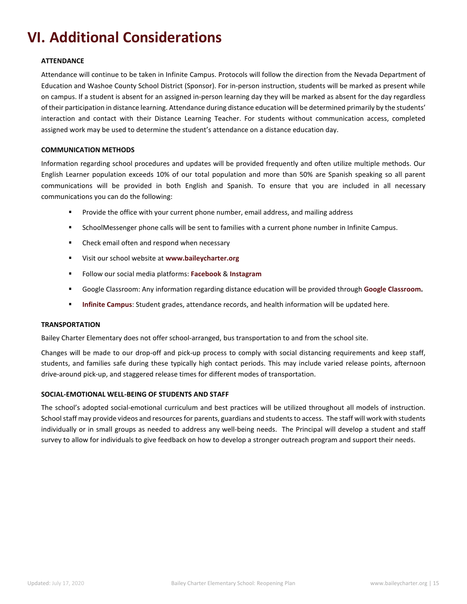# <span id="page-15-0"></span>**VI. Additional Considerations**

#### **ATTENDANCE**

Attendance will continue to be taken in Infinite Campus. Protocols will follow the direction from the Nevada Department of Education and Washoe County School District (Sponsor). For in-person instruction, students will be marked as present while on campus. If a student is absent for an assigned in-person learning day they will be marked as absent for the day regardless of their participation in distance learning. Attendance during distance education will be determined primarily by the students' interaction and contact with their Distance Learning Teacher. For students without communication access, completed assigned work may be used to determine the student's attendance on a distance education day.

#### **COMMUNICATION METHODS**

Information regarding school procedures and updates will be provided frequently and often utilize multiple methods. Our English Learner population exceeds 10% of our total population and more than 50% are Spanish speaking so all parent communications will be provided in both English and Spanish. To ensure that you are included in all necessary communications you can do the following:

- Provide the office with your current phone number, email address, and mailing address
- SchoolMessenger phone calls will be sent to families with a current phone number in Infinite Campus.
- **EXEC** Check email often and respond when necessary
- Visit our school website at **[www.baileycharter.org](http://www.baileycharter.org/)**
- Follow our social media platforms: **[Facebook](https://www.facebook.com/baileycharter)** & **[Instagram](https://www.instagram.com/baileycharteres/)**
- Google Classroom: Any information regarding distance education will be provided through **[Google Classroom.](https://edu.google.com/products/classroom/)**
- **[Infinite Campus](https://washoenv.infinitecampus.org/campus/portal/washoe.jsp)**: Student grades, attendance records, and health information will be updated here.

#### **TRANSPORTATION**

Bailey Charter Elementary does not offer school-arranged, bus transportation to and from the school site.

Changes will be made to our drop-off and pick-up process to comply with social distancing requirements and keep staff, students, and families safe during these typically high contact periods. This may include varied release points, afternoon drive-around pick-up, and staggered release times for different modes of transportation.

#### **SOCIAL-EMOTIONAL WELL-BEING OF STUDENTS AND STAFF**

The school's adopted social-emotional curriculum and best practices will be utilized throughout all models of instruction. School staff may provide videos and resources for parents, guardians and students to access. The staff will work with students individually or in small groups as needed to address any well-being needs. The Principal will develop a student and staff survey to allow for individuals to give feedback on how to develop a stronger outreach program and support their needs.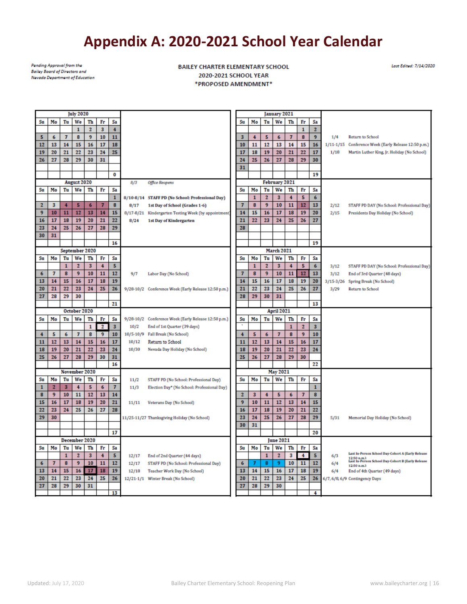# **Appendix A: 2020-2021 School Year Calendar**

<span id="page-16-0"></span>Pending Approval from the<br>Bailey Board of Directors and<br>Nevada Department of Education

**BAILEY CHARTER ELEMENTARY SCHOOL** 2020-2021 SCHOOL YEAR \*PROPOSED AMENDMENT\*

Last Edited: 7/14/2020

|               |              |                | July 2020                   |                |              |                         |               |                                                      |              |              |              | January 2021      |                |              |                         |               |                                                                                                                       |
|---------------|--------------|----------------|-----------------------------|----------------|--------------|-------------------------|---------------|------------------------------------------------------|--------------|--------------|--------------|-------------------|----------------|--------------|-------------------------|---------------|-----------------------------------------------------------------------------------------------------------------------|
| Su            | Mo           | Tu             | We                          | Th             | Fr           | Sa                      |               |                                                      | Su           | Mo           | Tu           | We                | Th             | Fr           | Sa                      |               |                                                                                                                       |
|               |              |                | $\mathbf{1}$                | $\overline{2}$ | 3            | 4                       |               |                                                      |              |              |              |                   |                | $\mathbf{1}$ | $\overline{2}$          |               |                                                                                                                       |
| 5             | 6            | $\overline{7}$ | 8                           | 9              | 10           | 11                      |               |                                                      | 3            | 4            | 5            | 6                 | $\overline{7}$ | 8            | 9                       | 1/4           | Return to School                                                                                                      |
| 12            | 13           | 14             | 15                          | 16             | 17           | 18                      |               |                                                      | 10           | 11           | 12           | 13                | 14             | 15           | 16                      |               | 1/11-1/15 Conference Week (Early Release 12:50 p.m.)                                                                  |
| 19            | 20           | 21             | 22                          | 23             | 24           | 25                      |               |                                                      | 17           | 18           | 19           | 20                | 21             | 22           | 17                      | 1/18          | Martin Luther King, Jr. Holiday (No School)                                                                           |
| 26            | 27           | 28             | 29                          | 30             | 31           |                         |               |                                                      | 24           | 25           | 26           | 27                | 28             | 29           | 30                      |               |                                                                                                                       |
|               |              |                |                             |                |              |                         |               |                                                      | 31           |              |              |                   |                |              |                         |               |                                                                                                                       |
|               |              |                |                             |                |              | 0                       |               |                                                      |              |              |              |                   |                |              | 19                      |               |                                                                                                                       |
| August 2020   |              |                |                             |                |              |                         | 8/3           | <b>Office Reopens</b>                                |              |              |              | February 2021     |                |              |                         |               |                                                                                                                       |
| Su            | Mo           | Tu             | We                          | Th             | Fr           | Sa                      |               |                                                      | Su           | Mo           | Tu           | We                | Th             | Fr           | Sa                      |               |                                                                                                                       |
|               |              |                |                             |                |              | $\mathbf{1}$            |               | 8/10-8/14 STAFF PD (No School: Professional Day)     |              | 1            | $\mathbf{z}$ | 3                 | 4              | 5            | 6                       |               |                                                                                                                       |
| $\mathbf{z}$  | 3            | 4              | 5                           | 6              | 7            | 8                       | 8/17          | 1st Day of School (Grades 1-6)                       | 7            | 8            | 9            | 10                | 11             | 12           | 13                      | 2/12          | STAFF PD DAY (No School: Professional Day)                                                                            |
| 9             | 10           | 11             | 12                          | 13             | 14           | 15                      | $8/17 - 8/21$ | Kindergarten Testing Week (by appointment)           | 14           | 15           | <b>16</b>    | 17                | 18             | 19           | 20                      | 2/15          | Presidents Day Holiday (No School)                                                                                    |
| 16            | 17           | 18             | 19                          | 20             | 21           | 22                      | 8/24          | <b>1st Day of Kindergarten</b>                       | 21           | 22           | 23           | 24                | 25             | 26           | 27                      |               |                                                                                                                       |
| 23            | 24           | 25             | 26                          | 27             | 28           | 29                      |               |                                                      | 28           |              |              |                   |                |              |                         |               |                                                                                                                       |
| 30            | 31           |                |                             |                |              |                         |               |                                                      |              |              |              |                   |                |              |                         |               |                                                                                                                       |
|               |              |                |                             |                |              | 16                      |               |                                                      |              |              |              |                   |                |              | 19                      |               |                                                                                                                       |
|               |              |                |                             | September 2020 |              |                         |               |                                                      |              |              |              | <b>March 2021</b> |                |              |                         |               |                                                                                                                       |
| Su            | Mo           | Tu             | We                          | Th             | Fr           | Sa                      |               |                                                      | Su           | Mo           | Tu           | We                | Th             | Fr           | Sa                      |               |                                                                                                                       |
|               |              | 1              | $\mathbf{z}$                | 3              | 4            | 5                       |               |                                                      |              | $\mathbf{1}$ | $\mathbf{z}$ | 3                 | 4              | 5            | 6                       | 3/12          | STAFF PD DAY (No School: Professional Day)                                                                            |
| 6             | 7            | 8              | 9                           | 10             | 11           | 12                      | 9/7           | Labor Day (No School)                                | 7            | 8            | 9            | 10                | 11             | 12           | 13                      | 3/12          | End of 3rd Quarter (48 days)                                                                                          |
| 13            | 14           | 15             | 16                          | 17             | 18           | 19                      |               |                                                      | 14           | 15           | 16           | 17                | 18             | 19           | 20                      | $3/15 - 3/26$ | Spring Break (No School)                                                                                              |
| 20            | 21           | 22             | 23                          | 24             | 25           | 26                      |               | 9/28-10/2 Conference Week (Early Release 12:50 p.m.) | 21           | 22           | 23           | 24                | 25             | 26           | 27                      | 3/29          | Return to School                                                                                                      |
| 27            | 28           | 29             | 30                          |                |              |                         |               |                                                      | 28           | 29           | 30           | 31                |                |              |                         |               |                                                                                                                       |
|               |              |                |                             |                |              | 21                      |               |                                                      |              |              |              |                   |                |              | 13                      |               |                                                                                                                       |
|               | October 2020 |                |                             |                |              |                         |               |                                                      |              |              |              | April 2021        |                |              |                         |               |                                                                                                                       |
| Su            | Mo           | Tu             | We                          | Th             | Fr           | Sa                      |               | 9/28-10/2 Conference Week (Early Release 12:50 p.m.) | Su           | Mo           | Tu           | We                | Th             | Fr           | Sa                      |               |                                                                                                                       |
|               |              |                |                             | $\mathbf{1}$   | $\mathbf{z}$ | $\overline{\mathbf{3}}$ | 10/2          | End of 1st Quarter (39 days)                         |              |              |              |                   | 1              | $\mathbf{z}$ | $\overline{\mathbf{3}}$ |               |                                                                                                                       |
| 4             | 5            | 6              | $\overline{\boldsymbol{7}}$ | 8              | 9            | 10                      |               | 10/5-10/9 Fall Break (No School)                     | 4            | 5            | 6            | 7                 | 8              | 9            | 10                      |               |                                                                                                                       |
| 11            | 12           | 13             | 14                          | 15             | 16           | 17                      | 10/12         | Return to School                                     | 11           | 12           | 13           | 14                | 15             | 16           | 17                      |               |                                                                                                                       |
| 18            | 19           | 20             | 21                          | 22             | 23           | 24                      | 10/30         | Nevada Day Holiday (No School)                       | 18           | 19           | 20           | 21                | 22             | 23           | 24                      |               |                                                                                                                       |
| 25            | 26           | 27             | 28                          | 29             | 30           | 31                      |               |                                                      | 25           | 26           | 27           | 28                | 29             | 30           |                         |               |                                                                                                                       |
|               |              |                |                             |                |              | 16                      |               |                                                      |              |              |              |                   |                |              | 22                      |               |                                                                                                                       |
|               |              |                | November 2020               |                |              |                         |               |                                                      |              |              |              | <b>May 2021</b>   |                |              |                         |               |                                                                                                                       |
| Su            | Mo           | Тu             | We                          | Th             | Fr           | Sa                      | 11/2          | STAFF PD (No School: Professional Day)               | Su           | Mo           | Tu           | We                | Th             | Fr           | Sa                      |               |                                                                                                                       |
| 1             | $\mathbf{2}$ | 3              | 4                           | 5              | 6            | 7                       | 11/3          | Election Day* (No School: Professional Day)          |              |              |              |                   |                |              | 1                       |               |                                                                                                                       |
| 8             | 9            | 10             | 11                          | 12             | 13           | 14                      |               |                                                      | $\mathbf{z}$ | 3            | 4            | 5                 | 6              | 7            | 8                       |               |                                                                                                                       |
| 15            | 16           | 17             | 18                          | 19             | 20           | 21                      | 11/11         | Veterans Day (No School)                             | 9            | 10           | 11           | 12                | 13             | 14           | 15                      |               |                                                                                                                       |
| 22            | 23           | 24             | 25                          | 26             | 27           | 28                      |               |                                                      | 16           | 17           | 18           | 19                | 20             | 21           | 22                      |               |                                                                                                                       |
| 29            | 30           |                |                             |                |              |                         |               | 11/25-11/27 Thanksgiving Holiday (No School)         | 23           | 24           | 25           | 26                | 27             | 28           | 29                      | 5/31          | Memorial Day Holiday (No School)                                                                                      |
|               |              |                |                             |                |              |                         |               |                                                      | 30           | 31           |              |                   |                |              |                         |               |                                                                                                                       |
|               |              |                |                             |                |              | 17                      |               |                                                      |              |              |              |                   |                |              | 20                      |               |                                                                                                                       |
| December 2020 |              |                |                             |                |              |                         |               |                                                      |              |              |              | <b>June 2021</b>  |                |              |                         |               |                                                                                                                       |
| Su            | Mo           | Tu             | We                          | Th             | Fr           | Sa                      |               |                                                      | Su           | Mo           | Tu           | We                | Th             | Fr           | Sa                      |               |                                                                                                                       |
|               |              | 1              | $\mathbf{2}$                | 3              | 4            | 5                       | 12/17         | End of 2nd Quarter (44 days)                         |              |              | 1            | $\mathbf{z}$      | 3              | 4            | 5                       | 6/3           | Last In-Person School Day-Cohort A (Early Release<br>12:50 n.m.)<br>Last In-Person School Day-Cohort B (Early Release |
| 6             | 7            | 8              | 9                           | 10             | 11           | 12                      | 12/17         | STAFF PD (No School: Professional Day)               | 6            | 7            | 8            | 9                 | 10             | 11           | 12                      | 6/4           | 12:50 p.m.)                                                                                                           |
| 13            | 14           | 15             | 16                          | 17             | 18           | 19                      | 12/18         | Teacher Work Day (No School)                         | 13           | 14           | 15           | 16                | 17             | 18           | 19                      | 6/4           | End of 4th Quarter (49 days)                                                                                          |
| 20            | 21           | 22             | 23                          | 24             | 25           | 26                      |               | 12/21-1/1 Winter Break (No School)                   | 20           | 21           | 22           | 23                | 24             | 25           | 26                      |               | 6/7, 6/8, 6/9 Contingency Days                                                                                        |
| 27            | 28           | 29             | 30                          | 31             |              |                         |               |                                                      | 27           | 28           | 29           | 30                |                |              |                         |               |                                                                                                                       |
|               |              |                |                             |                |              | 13                      |               |                                                      |              |              |              |                   |                |              | 4                       |               |                                                                                                                       |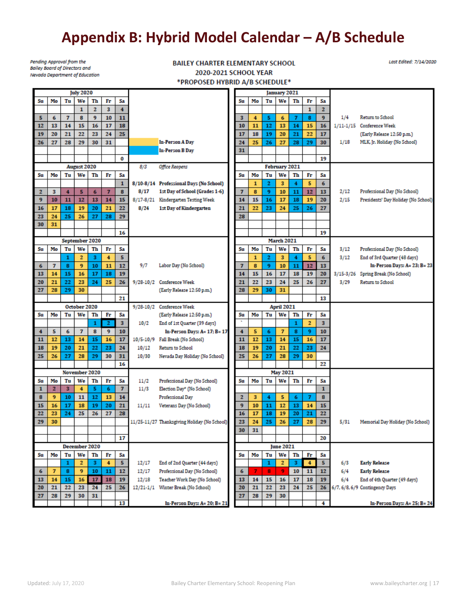# **Appendix B: Hybrid Model Calendar – A/B Schedule**

<span id="page-17-0"></span>Pending Approval from the **Bailey Board of Directors and** Nevada Department of Education **BAILEY CHARTER ELEMENTARY SCHOOL** 2020-2021 SCHOOL YEAR \*PROPOSED HYBRID A/B SCHEDULE\*

Last Edited: 7/14/2020

|                |                                                   |              | <b>July 2020</b> |                |                |                         |               | <b>The code in the After Service</b>         |                |                                                            |                | January 2021            |    |                |                |      |                                     |
|----------------|---------------------------------------------------|--------------|------------------|----------------|----------------|-------------------------|---------------|----------------------------------------------|----------------|------------------------------------------------------------|----------------|-------------------------|----|----------------|----------------|------|-------------------------------------|
| Su             | Mo                                                | Tu           | We               | Th             | Fr             | Sa                      |               |                                              | Su             | Mo                                                         | Tu             | We                      | Th | Fr             | Sa             |      |                                     |
|                |                                                   |              | $\mathbf{1}$     | $\overline{2}$ | 3              | $\overline{4}$          |               |                                              |                |                                                            |                |                         |    | $\mathbf{1}$   | $\overline{2}$ |      |                                     |
|                |                                                   |              |                  |                |                |                         |               |                                              |                |                                                            |                |                         |    |                | 9              | 1/4  | <b>Return to School</b>             |
| 5              | 6                                                 | 7            | 8                | 9              | 10             | 11                      |               |                                              | 3              | 4                                                          | 5              | 6                       | 7  | 8              |                |      |                                     |
| 12             | 13                                                | 14           | 15               | 16             | 17             | 18                      |               |                                              | 10             | 11                                                         | 12             | 13                      | 14 | 15             | 16             |      | 1/11-1/15 Conference Week           |
| 19             | 20                                                | 21           | 22               | 23             | 24             | 25                      |               |                                              | 17             | 18                                                         | 19             | 20                      | 21 | 22             | 17             |      | (Early Release 12:50 p.m.)          |
| 26             | 27                                                | 28           | 29               | 30             | 31             |                         |               | In-Person A Day                              | 24             | 25                                                         | 26             | 27                      | 28 | 29             | 30             | 1/18 | MLK, Jr. Holiday (No School)        |
|                |                                                   |              |                  |                |                |                         |               | In-Person B Day                              | 31             |                                                            |                |                         |    |                |                |      |                                     |
|                |                                                   |              |                  |                |                | 0                       |               |                                              |                |                                                            |                |                         |    |                | 19             |      |                                     |
|                | August 2020                                       |              |                  |                |                |                         | 8/3           | Office Reopens                               |                |                                                            |                | February 2021           |    |                |                |      |                                     |
| Su             | Mo                                                | Tu           | We               | Th             | Fr             | Sa                      |               |                                              | Su             | Mo                                                         | Тu             | We                      | Th | Fr             | Sa             |      |                                     |
|                |                                                   |              |                  |                |                | $\mathbf{1}$            |               | 8/10-8/14 Professional Days (No School)      |                | $\mathbf{1}$                                               | $\overline{2}$ | 3                       | 4  | 5              | 6              |      |                                     |
| $\overline{2}$ | 3                                                 | 4            | 5                | 6              | $\overline{7}$ | 8                       | 8/17          | 1st Day of School (Grades 1-6)               | $\overline{7}$ | 8                                                          | 9              | 10                      | 11 | 12             | 13             | 2/12 | Professional Day (No School)        |
| 9              | 10                                                | 11           | 12               | 13             | 14             | 15                      | $8/17 - 8/21$ | Kindergarten Testing Week                    | 14             | 15                                                         | 16             | 17                      | 18 | 19             | 20             | 2/15 | Presidents' Day Holiday (No School) |
| 16             | 17                                                | 18           | 19               | 20             | 21             | 22                      | 8/24          | 1st Day of Kindergarten                      | 21             | 22                                                         | 23             | 24                      | 25 | 26             | 27             |      |                                     |
| 23             | 24                                                | 25           | 26               | 27             | 28             | 29                      |               |                                              | 28             |                                                            |                |                         |    |                |                |      |                                     |
| 30             | 31                                                |              |                  |                |                |                         |               |                                              |                |                                                            |                |                         |    |                |                |      |                                     |
|                |                                                   |              |                  |                |                | 16                      |               |                                              |                |                                                            |                |                         |    |                | 19             |      |                                     |
|                |                                                   |              | September 2020   |                |                |                         |               |                                              |                |                                                            |                | <b>March 2021</b>       |    |                |                |      |                                     |
| Su             | Mo                                                | Tu           | We               | Th             | Fr             | Sa                      |               |                                              | Su             | Mo                                                         | Tu             | We                      | Th | Fr             | Sa             | 3/12 | Professional Day (No School)        |
|                |                                                   | $\mathbf{1}$ | $\overline{2}$   | 3              | 4              | 5                       |               |                                              |                | 1                                                          | $\overline{2}$ | $\overline{\mathbf{3}}$ | 4  | 5              | 6              | 3/12 | End of 3rd Quarter (48 days)        |
| 6              | 7                                                 | 8            | 9                | 10             | 11             | 12                      | 977           | Labor Day (No School)                        | 7              | 8                                                          | 9              | 10                      | 11 | 12             | 13             |      | In-Person Days: A= 23; B= 23        |
| 13             | 14                                                | 15           | 16               | 17             | 18             | 19                      |               |                                              | 14             | 15                                                         | 16             | 17                      | 18 | 19             | 20             |      | 3/15-3/26 Spring Break (No School)  |
| 20             | 21                                                | 22           | 23               | 24             | 25             | 26                      |               | 9/28-10/2 Conference Week                    | 21             | 22                                                         | 23             | 24                      | 25 | 26             | 27             | 3/29 | Return to School                    |
| 27             | 28                                                | 29           | 30               |                |                |                         |               | (Early Release 12:50 p.m.)                   | 28             | 29                                                         | 30             | 31                      |    |                |                |      |                                     |
|                |                                                   |              |                  |                |                | 21                      |               |                                              |                |                                                            |                |                         |    |                | 13             |      |                                     |
| October 2020   |                                                   |              |                  |                |                |                         |               | 9/28-10/2 Conference Week                    |                |                                                            |                | April 2021              |    |                |                |      |                                     |
| Su             | We<br>Th<br>Fr<br>Sa<br>Mo<br>Tu                  |              |                  |                |                |                         |               | (Early Release 12:50 p.m.)                   | Su             | Mo                                                         | Тu             | We                      | Th | Fr             | Sa             |      |                                     |
|                |                                                   |              |                  | $\mathbf{1}$   | $\overline{2}$ | 3                       | 10/2          | End of 1st Quarter (39 days)                 |                |                                                            |                |                         | 1  | $\overline{2}$ | 3              |      |                                     |
| 4              | 5                                                 | 6            | $\overline{7}$   | 8              | 9              | 10                      |               | In-Person Days: A= 17; B= 17                 | 4              | 5                                                          | 6              | $\overline{7}$          | 8  | 9              | 10             |      |                                     |
| 11             | 12                                                | 13           | 14               | 15             | 16             | 17                      | 10/5-10/9     | Fall Break (No School)                       | 11             | 12                                                         | 13             | 14                      | 15 | 16             | 17             |      |                                     |
| 18             | 19                                                | 20           | 21               | 22             | 23             | 24                      | 10/12         | Return to School                             | 18             | 19                                                         | 20             | 21                      | 22 | 23             | 24             |      |                                     |
| 25             | 26                                                | 27           | 28               | 29             | 30             | 31                      | 10/30         | Nevada Day Holiday (No School)               | 25             | 26                                                         | 27             | 28                      | 29 | 30             |                |      |                                     |
|                |                                                   |              |                  |                |                | 16                      |               |                                              |                |                                                            |                |                         |    |                | 22             |      |                                     |
| November 2020  |                                                   |              |                  |                |                |                         |               |                                              |                | <b>May 2021</b>                                            |                |                         |    |                |                |      |                                     |
| Su             | Mo                                                | Tu           | We               | Th             | Fr             | Sa                      | 11/2          | Professional Day (No School)                 | Su             | Mo                                                         | Tu             | We                      | Th | Fr             | Sa             |      |                                     |
| $\mathbf{1}$   | 2                                                 | 3            | 4                | 5              | 6              | $\overline{\mathbf{z}}$ | 11/3          | Election Day* (No School)                    |                |                                                            |                |                         |    |                | $\mathbf{1}$   |      |                                     |
| 8              | 9                                                 | 10           | 11               | 12             | 13             | 14                      |               | Professional Day                             | $\mathbf{z}$   | 3                                                          | 4              | 5                       | 6  | $\overline{7}$ | 8              |      |                                     |
| 15             | 16                                                | 17           | 18               | 19             | 20             | 21                      | 11/11         | Veterans Day (No School)                     | 9              | 10                                                         | 11             | 12                      | 13 | 14             | 15             |      |                                     |
| 22             | 23                                                | 24           | 25               | 26             | 27             | 28                      |               |                                              | 16             | 17                                                         | 18             | 19                      | 20 | 21             | 22             |      |                                     |
| 29             | 30                                                |              |                  |                |                |                         |               | 11/25-11/27 Thanksgiving Holiday (No School) | 23             | 24                                                         | 25             | 26                      | 27 | 28             | 29             | 5/31 | Memorial Day Holiday (No School)    |
|                |                                                   |              |                  |                |                |                         |               |                                              |                |                                                            |                |                         |    |                |                |      |                                     |
|                |                                                   |              |                  |                |                | 17                      |               |                                              | 30             | 31                                                         |                |                         |    |                | 20             |      |                                     |
|                |                                                   |              |                  |                |                |                         |               |                                              |                |                                                            |                |                         |    |                |                |      |                                     |
|                | December 2020<br>Mo<br>We<br>Th<br>Fr<br>Sa<br>Tu |              |                  |                |                |                         |               |                                              |                | <b>June 2021</b><br>We<br>Su<br>Tu<br>Th<br>Fr<br>Sa<br>Mo |                |                         |    |                |                |      |                                     |
| Su             |                                                   |              |                  |                |                | 5                       |               |                                              |                |                                                            |                |                         |    |                | 5              |      |                                     |
|                |                                                   | 1            | $\mathbf{z}$     | 3              | $\overline{4}$ |                         | 12/17         | End of 2nd Quarter (44 days)                 |                |                                                            | 1              | $\mathbf{z}$            | 3  | $\overline{4}$ |                | 6/3  | <b>Early Release</b>                |
| 6              | 7                                                 | 8            | 9                | 10             | 11             | 12                      | 12/17         | Professional Day (No School)                 | 6              | $\overline{7}$                                             | 8              | 9                       | 10 | 11             | 12             | 6/4  | <b>Early Release</b>                |
| 13             | 14                                                | 15           | 16               | 17             | 18             | 19                      | 12/18         | Teacher Work Day (No School)                 | 13             | 14                                                         | 15             | 16                      | 17 | 18             | 19             | 6/4  | End of 4th Quarter (49 days)        |
| 20             | 21                                                | 22           | 23               | 24             | 25             | 26                      |               | 12/21-1/1 Winter Break (No School)           | 20             | 21                                                         | 22             | 23                      | 24 | 25             | 26             |      | 6/7, 6/8, 6/9 Contingency Days      |
| 27             | 28                                                | 29           | 30               | 31             |                |                         |               |                                              | 27             | 28                                                         | 29             | 30                      |    |                |                |      |                                     |
|                |                                                   |              |                  |                |                | 13                      |               | In-Person Days: A= 20; B= 21                 |                |                                                            |                |                         |    |                | 4              |      | In-Person Days: A= 25; B= 24        |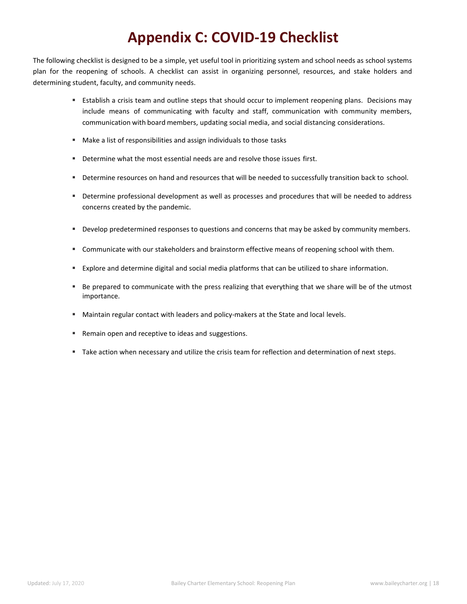# **Appendix C: COVID-19 Checklist**

<span id="page-18-0"></span>The following checklist is designed to be a simple, yet useful tool in prioritizing system and school needs as school systems plan for the reopening of schools. A checklist can assist in organizing personnel, resources, and stake holders and determining student, faculty, and community needs.

- Establish a crisis team and outline steps that should occur to implement reopening plans. Decisions may include means of communicating with faculty and staff, communication with community members, communication with board members, updating social media, and social distancing considerations.
- Make a list of responsibilities and assign individuals to those tasks
- Determine what the most essential needs are and resolve those issues first.
- Determine resources on hand and resources that will be needed to successfully transition back to school.
- Determine professional development as well as processes and procedures that will be needed to address concerns created by the pandemic.
- Develop predetermined responses to questions and concerns that may be asked by community members.
- Communicate with our stakeholders and brainstorm effective means of reopening school with them.
- Explore and determine digital and social media platforms that can be utilized to share information.
- Be prepared to communicate with the press realizing that everything that we share will be of the utmost importance.
- Maintain regular contact with leaders and policy-makers at the State and local levels.
- Remain open and receptive to ideas and suggestions.
- Take action when necessary and utilize the crisis team for reflection and determination of next steps.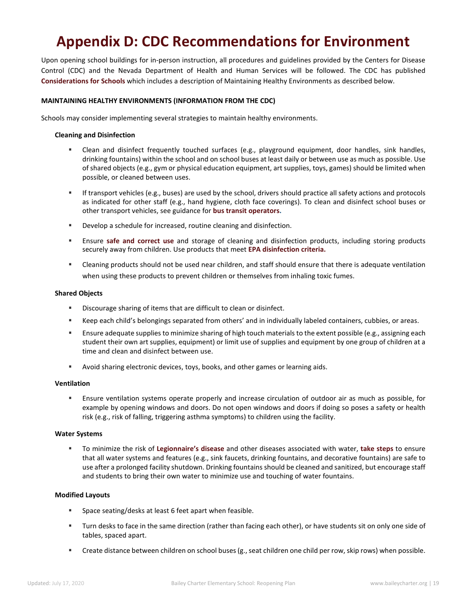# <span id="page-19-0"></span>**Appendix D: CDC Recommendations for Environment**

Upon opening school buildings for in-person instruction, all procedures and guidelines provided by the Centers for Disease Control (CDC) and the Nevada Department of Health and Human Services will be followed. The CDC has published **[Considerations for Schools](https://www.cdc.gov/coronavirus/2019-ncov/community/schools-childcare/schools.html)** which includes a description of Maintaining Healthy Environments as described below.

#### **MAINTAINING HEALTHY ENVIRONMENTS (INFORMATION FROM THE CDC)**

Schools may consider implementing several strategies to maintain healthy environments.

#### **Cleaning and Disinfection**

- Clean and disinfect frequently touched surfaces (e.g., playground equipment, door handles, sink handles, drinking fountains) within the school and on school buses at least daily or between use as much as possible. Use of shared objects (e.g., gym or physical education equipment, art supplies, toys, games) should be limited when possible, or cleaned between uses.
- If transport vehicles (e.g., buses) are used by the school, drivers should practice all safety actions and protocols as indicated for other staff (e.g., hand hygiene, cloth face coverings). To clean and disinfect school buses or other transport vehicles, see guidance for **[bus transit operators.](https://www.cdc.gov/coronavirus/2019-ncov/community/organizations/bus-transit-operator.html)**
- Develop a schedule for increased, routine cleaning and disinfection.
- Ensure **[safe and correct use](https://www.cdc.gov/coronavirus/2019-ncov/community/disinfecting-building-facility.html)** and storage of cleaning and disinfection products, including storing products securely away from children. Use products that meet **[EPA disinfection criteria.](https://www.epa.gov/pesticide-registration/list-n-disinfectants-use-against-sars-cov-2-covid-19)**
- Cleaning products should not be used near children, and staff should ensure that there is adequate ventilation when using these products to prevent children or themselves from inhaling toxic fumes.

#### **Shared Objects**

- Discourage sharing of items that are difficult to clean or disinfect.
- Keep each child's belongings separated from others' and in individually labeled containers, cubbies, or areas.
- **Ensure adequate supplies to minimize sharing of high touch materials to the extent possible (e.g., assigning each** student their own art supplies, equipment) or limit use of supplies and equipment by one group of children at a time and clean and disinfect between use.
- Avoid sharing electronic devices, toys, books, and other games or learning aids.

#### **Ventilation**

 Ensure ventilation systems operate properly and increase circulation of outdoor air as much as possible, for example by opening windows and doors. Do not open windows and doors if doing so poses a safety or health risk (e.g., risk of falling, triggering asthma symptoms) to children using the facility.

#### **Water Systems**

 To minimize the risk of **[Legionnaire's disease](https://www.cdc.gov/legionella/about/index.html)** and other diseases associated with water, **[take steps](https://www.cdc.gov/coronavirus/2019-ncov/php/building-water-system.html)** to ensure that all water systems and features (e.g., sink faucets, drinking fountains, and decorative fountains) are safe to use after a prolonged facility shutdown. Drinking fountains should be cleaned and sanitized, but encourage staff and students to bring their own water to minimize use and touching of water fountains.

#### **Modified Layouts**

- Space seating/desks at least 6 feet apart when feasible.
- Turn desks to face in the same direction (rather than facing each other), or have students sit on only one side of tables, spaced apart.
- Create distance between children on school buses (g., seat children one child per row, skip rows) when possible.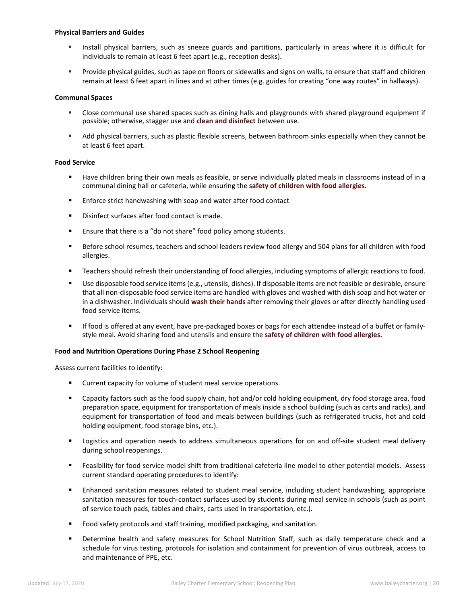#### **Physical Barriers and Guides**

- Install physical barriers, such as sneeze guards and partitions, particularly in areas where it is difficult for individuals to remain at least 6 feet apart (e.g., reception desks).
- Provide physical guides, such as tape on floors or sidewalks and signs on walls, to ensure that staff and children remain at least 6 feet apart in lines and at other times (e.g. guides for creating "one way routes" in hallways).

#### **Communal Spaces**

- Close communal use shared spaces such as dining halls and playgrounds with shared playground equipment if possible; otherwise, stagger use and **[clean and disinfect](https://www.cdc.gov/coronavirus/2019-ncov/community/reopen-guidance.html)** between use.
- Add physical barriers, such as plastic flexible screens, between bathroom sinks especially when they cannot be at least 6 feet apart.

#### **Food Service**

- Have children bring their own meals as feasible, or serve individually plated meals in classrooms instead of in a communal dining hall or cafeteria, while ensuring the **[safety of children with food allergies.](https://www.cdc.gov/healthyschools/foodallergies/pdf/13_243135_A_Food_Allergy_Web_508.pdf)**
- **E** Enforce strict handwashing with soap and water after food contact
- **Distribute:** Disinfect surfaces after food contact is made.
- **E** Ensure that there is a "do not share" food policy among students.
- **Before school resumes, teachers and school leaders review food allergy and 504 plans for all children with food** allergies.
- Teachers should refresh their understanding of food allergies, including symptoms of allergic reactions to food.
- Use disposable food service items (e.g., utensils, dishes). If disposable items are not feasible or desirable, ensure that all non-disposable food service items are handled with gloves and washed with dish soap and hot water or in a dishwasher. Individuals should **[wash their hands](https://www.cdc.gov/handwashing/when-how-handwashing.html)** after removing their gloves or after directly handling used food service items.
- If food is offered at any event, have pre-packaged boxes or bags for each attendee instead of a buffet or familystyle meal. Avoid sharing food and utensils and ensure the **[safety of children with food allergies.](https://www.cdc.gov/healthyschools/foodallergies/pdf/13_243135_A_Food_Allergy_Web_508.pdf)**

#### **Food and Nutrition Operations During Phase 2 School Reopening**

Assess current facilities to identify:

- Current capacity for volume of student meal service operations.
- Capacity factors such as the food supply chain, hot and/or cold holding equipment, dry food storage area, food preparation space, equipment for transportation of meals inside a school building (such as carts and racks), and equipment for transportation of food and meals between buildings (such as refrigerated trucks, hot and cold holding equipment, food storage bins, etc.).
- Logistics and operation needs to address simultaneous operations for on and off-site student meal delivery during school reopenings.
- Feasibility for food service model shift from traditional cafeteria line model to other potential models. Assess current standard operating procedures to identify:
- Enhanced sanitation measures related to student meal service, including student handwashing, appropriate sanitation measures for touch-contact surfaces used by students during meal service in schools (such as point of service touch pads, tables and chairs, carts used in transportation, etc.).
- Food safety protocols and staff training, modified packaging, and sanitation.
- Determine health and safety measures for School Nutrition Staff, such as daily temperature check and a schedule for virus testing, protocols for isolation and containment for prevention of virus outbreak, access to and maintenance of PPE, etc.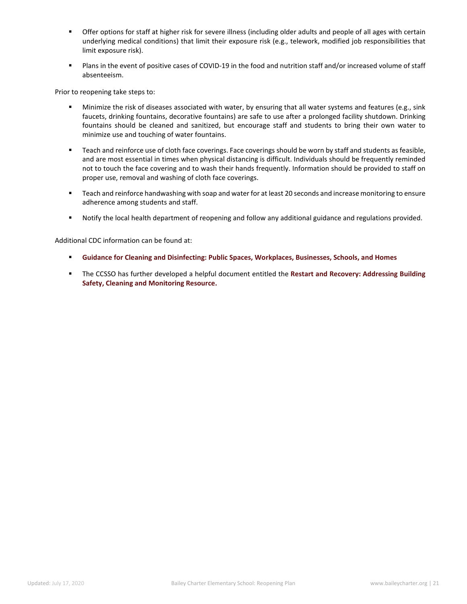- Offer options for staff at higher risk for severe illness (including older adults and people of all ages with certain underlying medical conditions) that limit their exposure risk (e.g., telework, modified job responsibilities that limit exposure risk).
- Plans in the event of positive cases of COVID-19 in the food and nutrition staff and/or increased volume of staff absenteeism.

Prior to reopening take steps to:

- Minimize the risk of diseases associated with water, by ensuring that all water systems and features (e.g., sink faucets, drinking fountains, decorative fountains) are safe to use after a prolonged facility shutdown. Drinking fountains should be cleaned and sanitized, but encourage staff and students to bring their own water to minimize use and touching of water fountains.
- **Teach and reinforce use of cloth face coverings. Face coverings should be worn by staff and students as feasible,** and are most essential in times when physical distancing is difficult. Individuals should be frequently reminded not to touch the face covering and to wash their hands frequently. Information should be provided to staff on proper use, removal and washing of cloth face coverings.
- **Teach and reinforce handwashing with soap and water for at least 20 seconds and increase monitoring to ensure** adherence among students and staff.
- Notify the local health department of reopening and follow any additional guidance and regulations provided.

Additional CDC information can be found at:

- **[Guidance for Cleaning and Disinfecting: Public Spaces, Workplaces, Businesses, Schools, and Homes](https://www.cdc.gov/coronavirus/2019-ncov/community/pdf/Reopening_America_Guidance.pdf)**
- The CCSSO has further developed a helpful document entitled the **[Restart and Recovery: Addressing Building](https://ccsso.org/sites/default/files/2020-05/CCSSO_Restart_Recovery-v5.pdf)  [Safety, Cleaning and Monitoring Resource.](https://ccsso.org/sites/default/files/2020-05/CCSSO_Restart_Recovery-v5.pdf)**